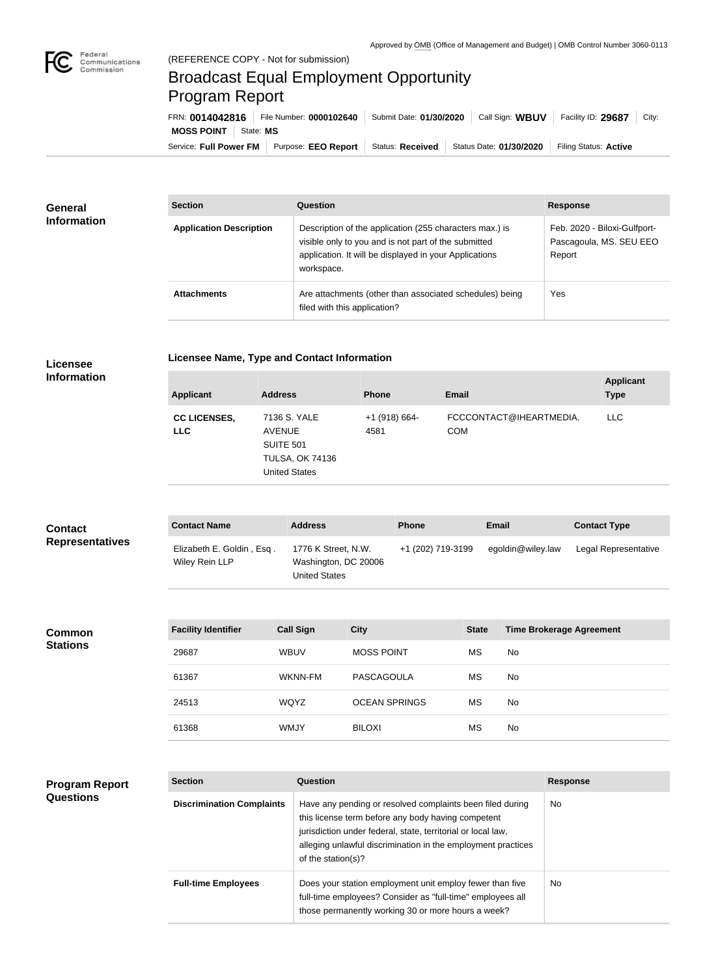

## Broadcast Equal Employment Opportunity Program Report

Service: Full Power FM Purpose: EEO Report | Status: Received | Status Date: 01/30/2020 | Filing Status: Active **MOSS POINT** | State: MS FRN: **0014042816** File Number: **0000102640** Submit Date: **01/30/2020** Call Sign: **WBUV** Facility ID: **29687** City:

| General<br><b>Information</b> | <b>Section</b>                 | Question                                                                                                                                                                                | <b>Response</b>                                                   |
|-------------------------------|--------------------------------|-----------------------------------------------------------------------------------------------------------------------------------------------------------------------------------------|-------------------------------------------------------------------|
|                               | <b>Application Description</b> | Description of the application (255 characters max.) is<br>visible only to you and is not part of the submitted<br>application. It will be displayed in your Applications<br>workspace. | Feb. 2020 - Biloxi-Gulfport-<br>Pascagoula, MS. SEU EEO<br>Report |
|                               | <b>Attachments</b>             | Are attachments (other than associated schedules) being<br>filed with this application?                                                                                                 | Yes                                                               |

| <b>Licensee</b>                                                 |
|-----------------------------------------------------------------|
| $\mathbf{I} \cdot \mathbf{I}$ and $\mathbf{I} \cdot \mathbf{I}$ |

**Licensee Name, Type and Contact Information**

**Information**

| <b>Applicant</b>                  | <b>Address</b>                                                                               | <b>Phone</b>            | <b>Email</b>                          | <b>Applicant</b><br><b>Type</b> |
|-----------------------------------|----------------------------------------------------------------------------------------------|-------------------------|---------------------------------------|---------------------------------|
| <b>CC LICENSES,</b><br><b>LLC</b> | 7136 S. YALE<br><b>AVENUE</b><br>SUITE 501<br><b>TULSA, OK 74136</b><br><b>United States</b> | $+1$ (918) 664-<br>4581 | FCCCONTACT@IHEARTMEDIA.<br><b>COM</b> | <b>LLC</b>                      |

| <b>Contact</b>         | <b>Contact Name</b>                         | <b>Address</b>                                               | <b>Phone</b>      | Email             | <b>Contact Type</b>  |
|------------------------|---------------------------------------------|--------------------------------------------------------------|-------------------|-------------------|----------------------|
| <b>Representatives</b> | Elizabeth E. Goldin, Esq.<br>Wiley Rein LLP | 1776 K Street, N.W.<br>Washington, DC 20006<br>United States | +1 (202) 719-3199 | egoldin@wiley.law | Legal Representative |

| <b>Common</b><br><b>Stations</b> | <b>Facility Identifier</b> | <b>Call Sign</b> | <b>City</b>          | <b>State</b> | <b>Time Brokerage Agreement</b> |
|----------------------------------|----------------------------|------------------|----------------------|--------------|---------------------------------|
|                                  | 29687                      | <b>WBUV</b>      | <b>MOSS POINT</b>    | <b>MS</b>    | No                              |
|                                  | 61367                      | WKNN-FM          | PASCAGOULA           | <b>MS</b>    | No                              |
|                                  | 24513                      | WQYZ             | <b>OCEAN SPRINGS</b> | <b>MS</b>    | No                              |
|                                  | 61368                      | <b>WMJY</b>      | <b>BILOXI</b>        | <b>MS</b>    | No                              |

| <b>Program Report</b><br><b>Questions</b> | <b>Section</b>                   | Question                                                                                                                                                                                                                                                              | <b>Response</b> |
|-------------------------------------------|----------------------------------|-----------------------------------------------------------------------------------------------------------------------------------------------------------------------------------------------------------------------------------------------------------------------|-----------------|
|                                           | <b>Discrimination Complaints</b> | Have any pending or resolved complaints been filed during<br>this license term before any body having competent<br>jurisdiction under federal, state, territorial or local law,<br>alleging unlawful discrimination in the employment practices<br>of the station(s)? | <b>No</b>       |
|                                           | <b>Full-time Employees</b>       | Does your station employment unit employ fewer than five<br>full-time employees? Consider as "full-time" employees all<br>those permanently working 30 or more hours a week?                                                                                          | <b>No</b>       |